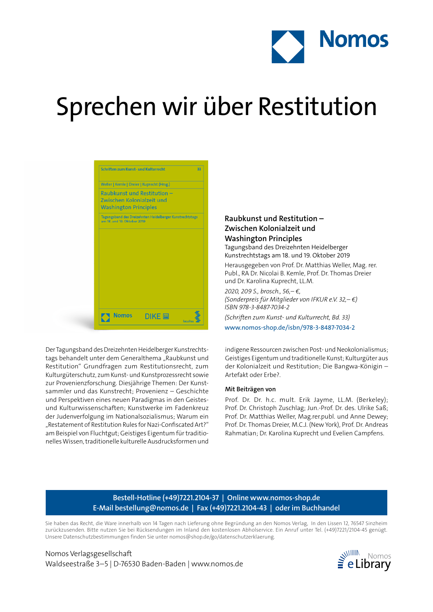

# Sprechen wir über Restitution



Der Tagungsband des Dreizehnten Heidelberger Kunstrechtstags behandelt unter dem Generalthema "Raubkunst und Restitution" Grundfragen zum Restitutionsrecht, zum Kulturgüterschutz, zum Kunst- und Kunstprozessrecht sowie zur Provenienzforschung. Diesjährige Themen: Der Kunstsammler und das Kunstrecht; Provenienz – Geschichte und Perspektiven eines neuen Paradigmas in den Geistesund Kulturwissenschaften; Kunstwerke im Fadenkreuz der Judenverfolgung im Nationalsozialismus; Warum ein "Restatement of Restitution Rules for Nazi-Confiscated Art?" am Beispiel von Fluchtgut; Geistiges Eigentum für traditionelles Wissen, traditionelle kulturelle Ausdrucksformen und

## **Raubkunst und Restitution – Zwischen Kolonialzeit und**

### **Washington Principles** Tagungsband des Dreizehnten Heidelberger

Kunstrechtstags am 18. und 19. Oktober 2019 Herausgegeben von Prof. Dr. Matthias Weller, Mag. rer.

Publ., RA Dr. Nicolai B. Kemle, Prof. Dr. Thomas Dreier und Dr. Karolina Kuprecht, LL.M.

*2020, 209 S., brosch., 56,– €, (Sonderpreis für Mitglieder von IFKUR e.V. 32,– €) ISBN 978-3-8487-7034-2*

*(Schriften zum Kunst- und Kulturrecht, Bd. 33)* www.nomos-shop.de/isbn/978-3-8487-7034-2

indigene Ressourcen zwischen Post- und Neokolonialismus; Geistiges Eigentum und traditionelle Kunst; Kulturgüter aus der Kolonialzeit und Restitution; Die Bangwa-Königin – Artefakt oder Erbe?.

#### **Mit Beiträgen von**

Prof. Dr. Dr. h.c. mult. Erik Jayme, LL.M. (Berkeley); Prof. Dr. Christoph Zuschlag; Jun.-Prof. Dr. des. Ulrike Saß; Prof. Dr. Matthias Weller, Mag.rer.publ. und Anne Dewey; Prof. Dr. Thomas Dreier, M.C.J. (New York), Prof. Dr. Andreas Rahmatian; Dr. Karolina Kuprecht und Evelien Campfens.

### **Bestell-Hotline (+49)7221.2104-37 | Online www.nomos-shop.de E-Mail bestellung@nomos.de | Fax (+49)7221.2104-43 | oder im Buchhandel**

Sie haben das Recht, die Ware innerhalb von 14 Tagen nach Lieferung ohne Begründung an den Nomos Verlag, In den Lissen 12, 76547 Sinzheim zurückzusenden. Bitte nutzen Sie bei Rücksendungen im Inland den kostenlosen Abholservice. Ein Anruf unter Tel. (+49)7221/2104-45 genügt. Unsere Datenschutzbestimmungen finden Sie unter nomos@shop.de/go/datenschutzerklaerung.

Nomos Verlagsgesellschaft Waldseestraße 3–5 | D-76530 Baden-Baden | www.nomos.de  $\geq$  eLibrary